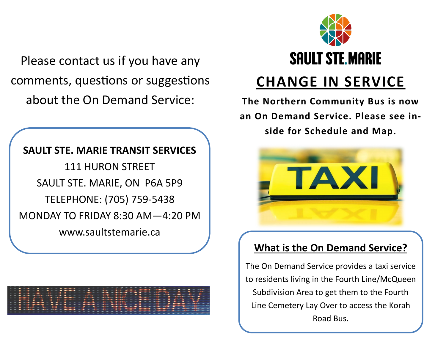Please contact us if you have any comments, questions or suggestions about the On Demand Service:

**SAULT STE. MARIE TRANSIT SERVICES**  111 HURON STREET SAULT STE. MARIE, ON P6A 5P9 TELEPHONE: (705) 759-5438 MONDAY TO FRIDAY 8:30 AM—4:20 PM www.saultstemarie.ca





## **CHANGE IN SERVICE**

**The Northern Community Bus is now an On Demand Service. Please see inside for Schedule and Map.**



#### **What is the On Demand Service?**

The On Demand Service provides a taxi service to residents living in the Fourth Line/McQueen Subdivision Area to get them to the Fourth Line Cemetery Lay Over to access the Korah Road Bus.